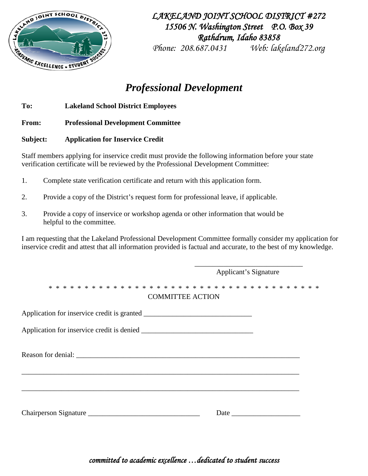

*LAKELAND JOINT SCHOOL DISTRICT #272 15506 N. Washington Street P.O. Box 39 Rathdrum, Idaho 83858* 

*Phone: 208.687.0431 Web: lakeland272.org* 

# *Professional Development*

**To: Lakeland School District Employees**

**From: Professional Development Committee**

**Subject: Application for Inservice Credit**

Staff members applying for inservice credit must provide the following information before your state verification certificate will be reviewed by the Professional Development Committee:

- 1. Complete state verification certificate and return with this application form.
- 2. Provide a copy of the District's request form for professional leave, if applicable.
- 3. Provide a copy of inservice or workshop agenda or other information that would be helpful to the committee.

I am requesting that the Lakeland Professional Development Committee formally consider my application for inservice credit and attest that all information provided is factual and accurate, to the best of my knowledge.

|                         | Applicant's Signature |  |  |
|-------------------------|-----------------------|--|--|
| <b>COMMITTEE ACTION</b> |                       |  |  |
|                         |                       |  |  |
|                         |                       |  |  |
|                         |                       |  |  |
|                         |                       |  |  |
|                         |                       |  |  |
|                         |                       |  |  |

*committed to academic excellence …dedicated to student success*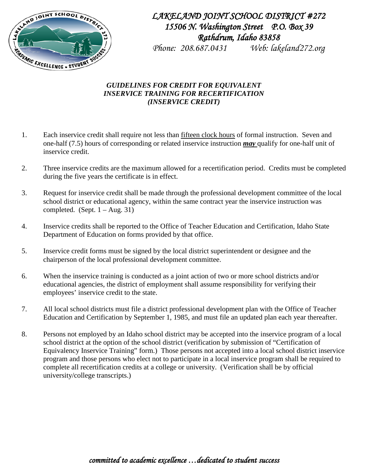

## *LAKELAND JOINT SCHOOL DISTRICT #272 15506 N. Washington Street P.O. Box 39 Rathdrum, Idaho 83858*

*Phone: 208.687.0431 Web: lakeland272.org* 

### *GUIDELINES FOR CREDIT FOR EQUIVALENT INSERVICE TRAINING FOR RECERTIFICATION (INSERVICE CREDIT)*

- 1. Each inservice credit shall require not less than fifteen clock hours of formal instruction. Seven and one-half (7.5) hours of corresponding or related inservice instruction *may* qualify for one-half unit of inservice credit.
- 2. Three inservice credits are the maximum allowed for a recertification period. Credits must be completed during the five years the certificate is in effect.
- 3. Request for inservice credit shall be made through the professional development committee of the local school district or educational agency, within the same contract year the inservice instruction was completed. (Sept.  $1 - Aug. 31$ )
- 4. Inservice credits shall be reported to the Office of Teacher Education and Certification, Idaho State Department of Education on forms provided by that office.
- 5. Inservice credit forms must be signed by the local district superintendent or designee and the chairperson of the local professional development committee.
- 6. When the inservice training is conducted as a joint action of two or more school districts and/or educational agencies, the district of employment shall assume responsibility for verifying their employees' inservice credit to the state.
- 7. All local school districts must file a district professional development plan with the Office of Teacher Education and Certification by September 1, 1985, and must file an updated plan each year thereafter.
- 8. Persons not employed by an Idaho school district may be accepted into the inservice program of a local school district at the option of the school district (verification by submission of "Certification of Equivalency Inservice Training" form.) Those persons not accepted into a local school district inservice program and those persons who elect not to participate in a local inservice program shall be required to complete all recertification credits at a college or university. (Verification shall be by official university/college transcripts.)